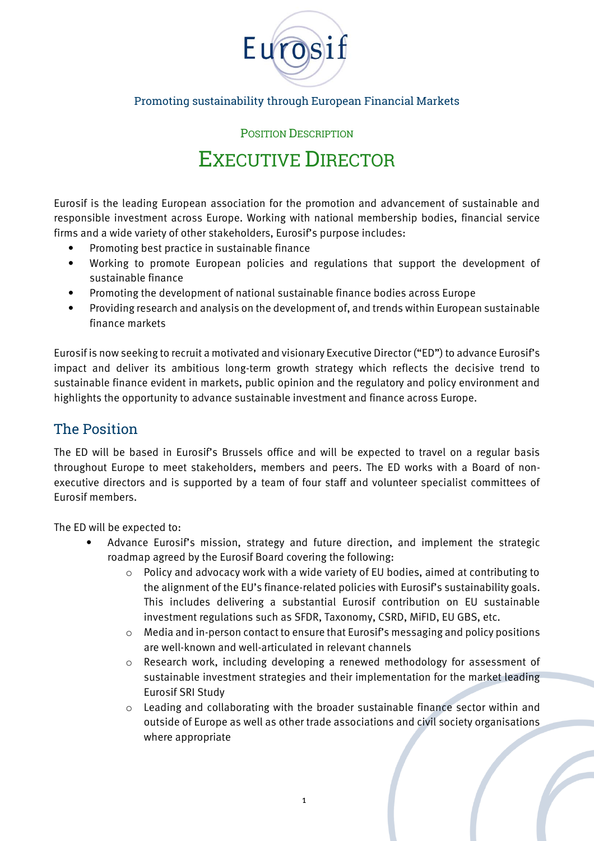

#### Promoting sustainability through European Financial Markets

POSITION DESCRIPTION

# EXECUTIVE DIRECTOR

Eurosif is the leading European association for the promotion and advancement of sustainable and responsible investment across Europe. Working with national membership bodies, financial service firms and a wide variety of other stakeholders, Eurosif's purpose includes:

- Promoting best practice in sustainable finance
- Working to promote European policies and regulations that support the development of sustainable finance
- Promoting the development of national sustainable finance bodies across Europe
- Providing research and analysis on the development of, and trends within European sustainable finance markets

Eurosif is now seeking to recruit a motivated and visionary Executive Director ("ED") to advance Eurosif's impact and deliver its ambitious long-term growth strategy which reflects the decisive trend to sustainable finance evident in markets, public opinion and the regulatory and policy environment and highlights the opportunity to advance sustainable investment and finance across Europe.

### The Position

The ED will be based in Eurosif's Brussels office and will be expected to travel on a regular basis throughout Europe to meet stakeholders, members and peers. The ED works with a Board of nonexecutive directors and is supported by a team of four staff and volunteer specialist committees of Eurosif members.

The ED will be expected to:

- Advance Eurosif's mission, strategy and future direction, and implement the strategic roadmap agreed by the Eurosif Board covering the following:
	- $\circ$  Policy and advocacy work with a wide variety of EU bodies, aimed at contributing to the alignment of the EU's finance-related policies with Eurosif's sustainability goals. This includes delivering a substantial Eurosif contribution on EU sustainable investment regulations such as SFDR, Taxonomy, CSRD, MiFID, EU GBS, etc.
	- o Media and in-person contact to ensure that Eurosif's messaging and policy positions are well-known and well-articulated in relevant channels
	- o Research work, including developing a renewed methodology for assessment of sustainable investment strategies and their implementation for the market leading Eurosif SRI Study
	- o Leading and collaborating with the broader sustainable finance sector within and outside of Europe as well as other trade associations and civil society organisations where appropriate